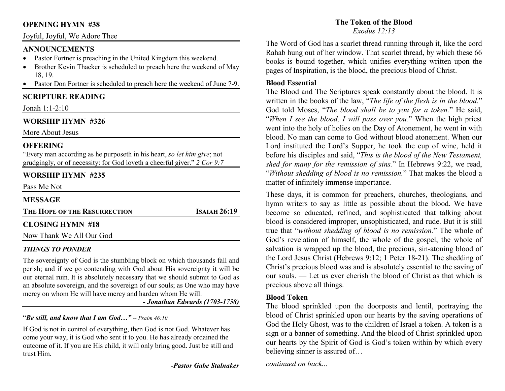## **OPENING HYMN #38**

## Joyful, Joyful, We Adore Thee

## **ANNOUNCEMENTS**

- Pastor Fortner is preaching in the United Kingdom this weekend. •
- • Brother Kevin Thacker is scheduled to preach here the weekend of May 18, 19.
- Pastor Don Fortner is scheduled to preach here the weekend of June 7-9. •

# **SCRIPTURE READING**

Jonah 1:1-2:10

# **WORSHIP HYMN #326**

More About Jesus

# **OFFERING**

 "Every man according as he purposeth in his heart, *so let him give*; not grudgingly, or of necessity: for God loveth a cheerful giver." *2 Cor 9:7*

# **WORSHIP HYMN #235**

Pass Me Not

### **MESSAGE**

| THE HOPE OF THE RESURRECTION | <b>ISAIAH 26:19</b> |
|------------------------------|---------------------|
|                              |                     |

# **CLOSING HYMN #18**

Now Thank We All Our God

# *THINGS TO PONDER*

 The sovereignty of God is the stumbling block on which thousands fall and perish; and if we go contending with God about His sovereignty it will be our eternal ruin. It is absolutely necessary that we should submit to God as an absolute sovereign, and the sovereign of our souls; as One who may have mercy on whom He will have mercy and harden whom He will.

*- Jonathan Edwards (1703-1758)*

# "*Be still, and know that I am God…" -- Psalm 46:10*

If God is not in control of everything, then God is not God. Whatever has come your way, it is God who sent it to you. He has already ordained the outcome of it. If you are His child, it will only bring good. Just be still and trust Him.

*-Pastor Gabe Stalnaker*

# **The Token of the Blood**

*Exodus 12:13*

The Word of God has a scarlet thread running through it, like the cord Rahab hung out of her window. That scarlet thread, by which these 66 books is bound together, which unifies everything written upon the pages of Inspiration, is the blood, the precious blood of Christ.

## **Blood Essential**

 The Blood and The Scriptures speak constantly about the blood. It is written in the books of the law, "*The life of the flesh is in the blood.*" God told Moses, "*The blood shall be to you for a token.*" He said, "*When I see the blood, I will pass over you.*" When the high priest went into the holy of holies on the Day of Atonement, he went in with blood. No man can come to God without blood atonement. When our Lord instituted the Lord's Supper, he took the cup of wine, held it before his disciples and said, "*This is the blood of the New Testament, shed for many for the remission of sins.*" In Hebrews 9:22, we read, "*Without shedding of blood is no remission.*" That makes the blood a matter of infinitely immense importance.

These days, it is common for preachers, churches, theologians, and hymn writers to say as little as possible about the blood. We have become so educated, refined, and sophisticated that talking about blood is considered improper, unsophisticated, and rude. But it is still true that "*without shedding of blood is no remission.*" The whole of God's revelation of himself, the whole of the gospel, the whole of salvation is wrapped up the blood, the precious, sin-atoning blood of the Lord Jesus Christ (Hebrews 9:12; 1 Peter 18-21). The shedding of Christ's precious blood was and is absolutely essential to the saving of our souls. — Let us ever cherish the blood of Christ as that which is precious above all things.

# **Blood Token**

 The blood sprinkled upon the doorposts and lentil, portraying the blood of Christ sprinkled upon our hearts by the saving operations of God the Holy Ghost, was to the children of Israel a token. A token is a sign or a banner of something. And the blood of Christ sprinkled upon our hearts by the Spirit of God is God's token within by which every believing sinner is assured of…

*continued on back...*